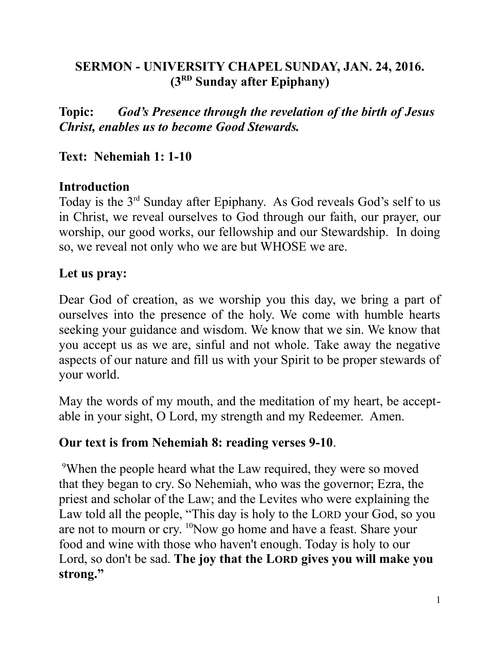# **SERMON - UNIVERSITY CHAPEL SUNDAY, JAN. 24, 2016. (3RD Sunday after Epiphany)**

**Topic:** *God's Presence through the revelation of the birth of Jesus Christ, enables us to become Good Stewards.*

## **Text: Nehemiah 1: 1-10**

## **Introduction**

Today is the 3rd Sunday after Epiphany. As God reveals God's self to us in Christ, we reveal ourselves to God through our faith, our prayer, our worship, our good works, our fellowship and our Stewardship. In doing so, we reveal not only who we are but WHOSE we are.

## **Let us pray:**

Dear God of creation, as we worship you this day, we bring a part of ourselves into the presence of the holy. We come with humble hearts seeking your guidance and wisdom. We know that we sin. We know that you accept us as we are, sinful and not whole. Take away the negative aspects of our nature and fill us with your Spirit to be proper stewards of your world.

May the words of my mouth, and the meditation of my heart, be acceptable in your sight, O Lord, my strength and my Redeemer. Amen.

#### **Our text is from Nehemiah 8: reading verses 9-10**.

<sup>9</sup>When the people heard what the Law required, they were so moved that they began to cry. So Nehemiah, who was the governor; Ezra, the priest and scholar of the Law; and the Levites who were explaining the Law told all the people, "This day is holy to the LORD your God, so you are not to mourn or cry. <sup>10</sup>Now go home and have a feast. Share your food and wine with those who haven't enough. Today is holy to our Lord, so don't be sad. **The joy that the LORD gives you will make you strong."**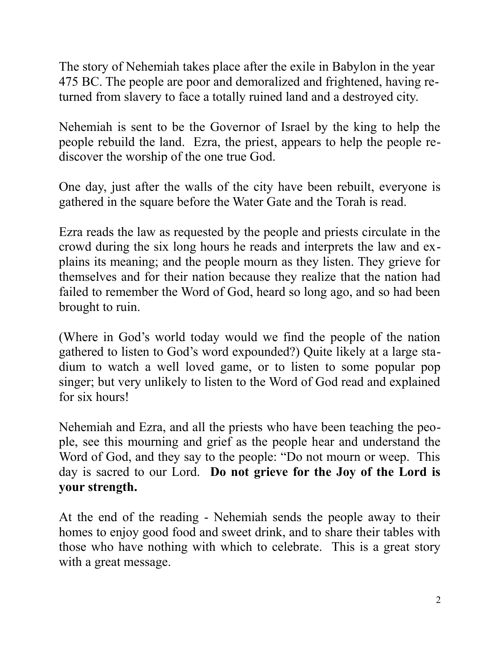The story of Nehemiah takes place after the exile in Babylon in the year 475 BC. The people are poor and demoralized and frightened, having returned from slavery to face a totally ruined land and a destroyed city.

Nehemiah is sent to be the Governor of Israel by the king to help the people rebuild the land. Ezra, the priest, appears to help the people rediscover the worship of the one true God.

One day, just after the walls of the city have been rebuilt, everyone is gathered in the square before the Water Gate and the Torah is read.

Ezra reads the law as requested by the people and priests circulate in the crowd during the six long hours he reads and interprets the law and explains its meaning; and the people mourn as they listen. They grieve for themselves and for their nation because they realize that the nation had failed to remember the Word of God, heard so long ago, and so had been brought to ruin.

(Where in God's world today would we find the people of the nation gathered to listen to God's word expounded?) Quite likely at a large stadium to watch a well loved game, or to listen to some popular pop singer; but very unlikely to listen to the Word of God read and explained for six hours!

Nehemiah and Ezra, and all the priests who have been teaching the people, see this mourning and grief as the people hear and understand the Word of God, and they say to the people: "Do not mourn or weep. This day is sacred to our Lord. **Do not grieve for the Joy of the Lord is your strength.**

At the end of the reading - Nehemiah sends the people away to their homes to enjoy good food and sweet drink, and to share their tables with those who have nothing with which to celebrate. This is a great story with a great message.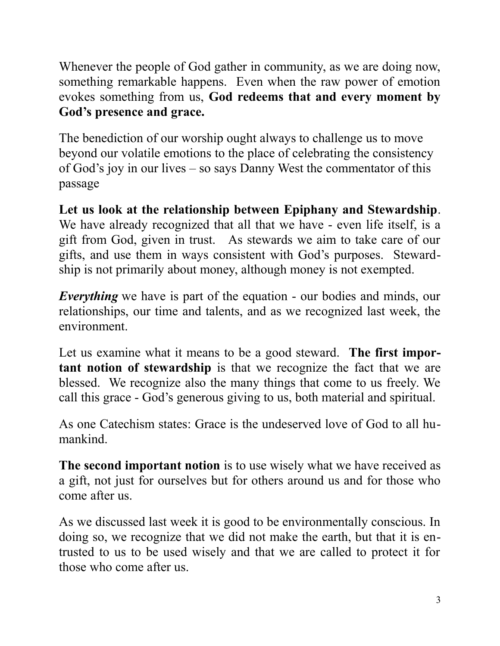Whenever the people of God gather in community, as we are doing now, something remarkable happens. Even when the raw power of emotion evokes something from us, **God redeems that and every moment by God's presence and grace.** 

The benediction of our worship ought always to challenge us to move beyond our volatile emotions to the place of celebrating the consistency of God's joy in our lives – so says Danny West the commentator of this passage

**Let us look at the relationship between Epiphany and Stewardship**. We have already recognized that all that we have - even life itself, is a gift from God, given in trust. As stewards we aim to take care of our gifts, and use them in ways consistent with God's purposes. Stewardship is not primarily about money, although money is not exempted.

*Everything* we have is part of the equation - our bodies and minds, our relationships, our time and talents, and as we recognized last week, the environment.

Let us examine what it means to be a good steward. **The first important notion of stewardship** is that we recognize the fact that we are blessed. We recognize also the many things that come to us freely. We call this grace - God's generous giving to us, both material and spiritual.

As one Catechism states: Grace is the undeserved love of God to all humankind.

**The second important notion** is to use wisely what we have received as a gift, not just for ourselves but for others around us and for those who come after us.

As we discussed last week it is good to be environmentally conscious. In doing so, we recognize that we did not make the earth, but that it is entrusted to us to be used wisely and that we are called to protect it for those who come after us.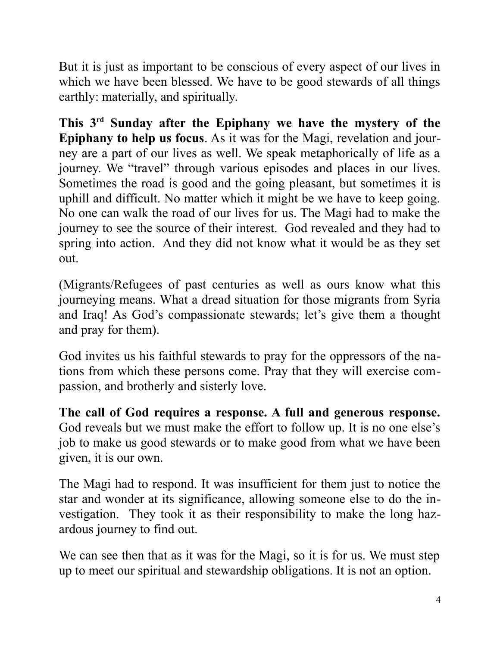But it is just as important to be conscious of every aspect of our lives in which we have been blessed. We have to be good stewards of all things earthly: materially, and spiritually.

**This 3rd Sunday after the Epiphany we have the mystery of the Epiphany to help us focus**. As it was for the Magi, revelation and journey are a part of our lives as well. We speak metaphorically of life as a journey. We "travel" through various episodes and places in our lives. Sometimes the road is good and the going pleasant, but sometimes it is uphill and difficult. No matter which it might be we have to keep going. No one can walk the road of our lives for us. The Magi had to make the journey to see the source of their interest. God revealed and they had to spring into action. And they did not know what it would be as they set out.

(Migrants/Refugees of past centuries as well as ours know what this journeying means. What a dread situation for those migrants from Syria and Iraq! As God's compassionate stewards; let's give them a thought and pray for them).

God invites us his faithful stewards to pray for the oppressors of the nations from which these persons come. Pray that they will exercise compassion, and brotherly and sisterly love.

**The call of God requires a response. A full and generous response.** God reveals but we must make the effort to follow up. It is no one else's job to make us good stewards or to make good from what we have been given, it is our own.

The Magi had to respond. It was insufficient for them just to notice the star and wonder at its significance, allowing someone else to do the investigation. They took it as their responsibility to make the long hazardous journey to find out.

We can see then that as it was for the Magi, so it is for us. We must step up to meet our spiritual and stewardship obligations. It is not an option.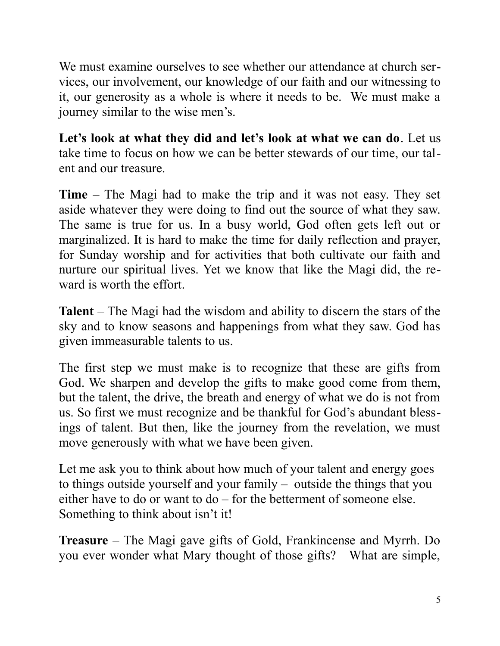We must examine ourselves to see whether our attendance at church services, our involvement, our knowledge of our faith and our witnessing to it, our generosity as a whole is where it needs to be. We must make a journey similar to the wise men's.

**Let's look at what they did and let's look at what we can do**. Let us take time to focus on how we can be better stewards of our time, our talent and our treasure.

**Time** – The Magi had to make the trip and it was not easy. They set aside whatever they were doing to find out the source of what they saw. The same is true for us. In a busy world, God often gets left out or marginalized. It is hard to make the time for daily reflection and prayer, for Sunday worship and for activities that both cultivate our faith and nurture our spiritual lives. Yet we know that like the Magi did, the reward is worth the effort.

**Talent** – The Magi had the wisdom and ability to discern the stars of the sky and to know seasons and happenings from what they saw. God has given immeasurable talents to us.

The first step we must make is to recognize that these are gifts from God. We sharpen and develop the gifts to make good come from them, but the talent, the drive, the breath and energy of what we do is not from us. So first we must recognize and be thankful for God's abundant blessings of talent. But then, like the journey from the revelation, we must move generously with what we have been given.

Let me ask you to think about how much of your talent and energy goes to things outside yourself and your family – outside the things that you either have to do or want to do – for the betterment of someone else. Something to think about isn't it!

**Treasure** – The Magi gave gifts of Gold, Frankincense and Myrrh. Do you ever wonder what Mary thought of those gifts? What are simple,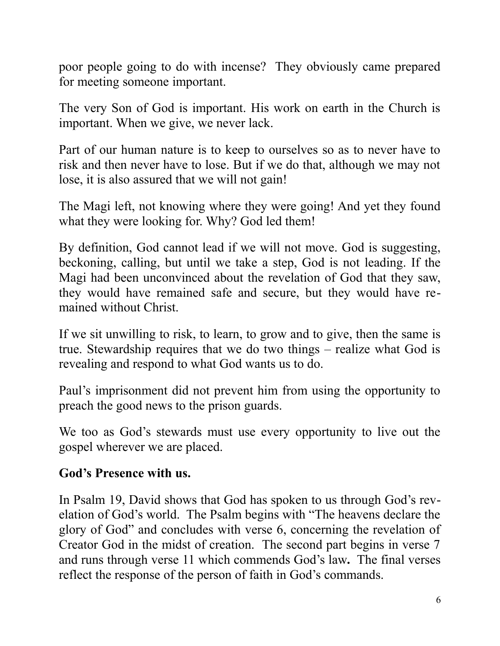poor people going to do with incense? They obviously came prepared for meeting someone important.

The very Son of God is important. His work on earth in the Church is important. When we give, we never lack.

Part of our human nature is to keep to ourselves so as to never have to risk and then never have to lose. But if we do that, although we may not lose, it is also assured that we will not gain!

The Magi left, not knowing where they were going! And yet they found what they were looking for. Why? God led them!

By definition, God cannot lead if we will not move. God is suggesting, beckoning, calling, but until we take a step, God is not leading. If the Magi had been unconvinced about the revelation of God that they saw, they would have remained safe and secure, but they would have remained without Christ.

If we sit unwilling to risk, to learn, to grow and to give, then the same is true. Stewardship requires that we do two things – realize what God is revealing and respond to what God wants us to do.

Paul's imprisonment did not prevent him from using the opportunity to preach the good news to the prison guards.

We too as God's stewards must use every opportunity to live out the gospel wherever we are placed.

#### **God's Presence with us.**

In Psalm 19, David shows that God has spoken to us through God's revelation of God's world. The Psalm begins with "The heavens declare the glory of God" and concludes with verse 6, concerning the revelation of Creator God in the midst of creation. The second part begins in verse 7 and runs through verse 11 which commends God's law**.** The final verses reflect the response of the person of faith in God's commands.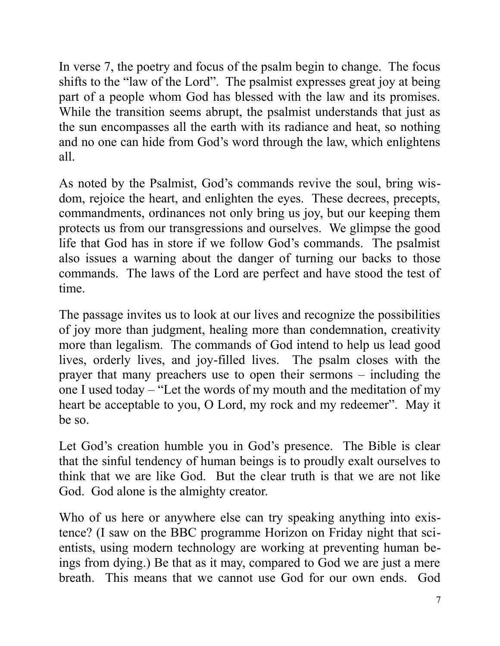In verse 7, the poetry and focus of the psalm begin to change. The focus shifts to the "law of the Lord". The psalmist expresses great joy at being part of a people whom God has blessed with the law and its promises. While the transition seems abrupt, the psalmist understands that just as the sun encompasses all the earth with its radiance and heat, so nothing and no one can hide from God's word through the law, which enlightens all.

As noted by the Psalmist, God's commands revive the soul, bring wisdom, rejoice the heart, and enlighten the eyes. These decrees, precepts, commandments, ordinances not only bring us joy, but our keeping them protects us from our transgressions and ourselves. We glimpse the good life that God has in store if we follow God's commands. The psalmist also issues a warning about the danger of turning our backs to those commands. The laws of the Lord are perfect and have stood the test of time.

The passage invites us to look at our lives and recognize the possibilities of joy more than judgment, healing more than condemnation, creativity more than legalism. The commands of God intend to help us lead good lives, orderly lives, and joy-filled lives. The psalm closes with the prayer that many preachers use to open their sermons – including the one I used today – "Let the words of my mouth and the meditation of my heart be acceptable to you, O Lord, my rock and my redeemer". May it be so.

Let God's creation humble you in God's presence. The Bible is clear that the sinful tendency of human beings is to proudly exalt ourselves to think that we are like God. But the clear truth is that we are not like God. God alone is the almighty creator.

Who of us here or anywhere else can try speaking anything into existence? (I saw on the BBC programme Horizon on Friday night that scientists, using modern technology are working at preventing human beings from dying.) Be that as it may, compared to God we are just a mere breath. This means that we cannot use God for our own ends. God